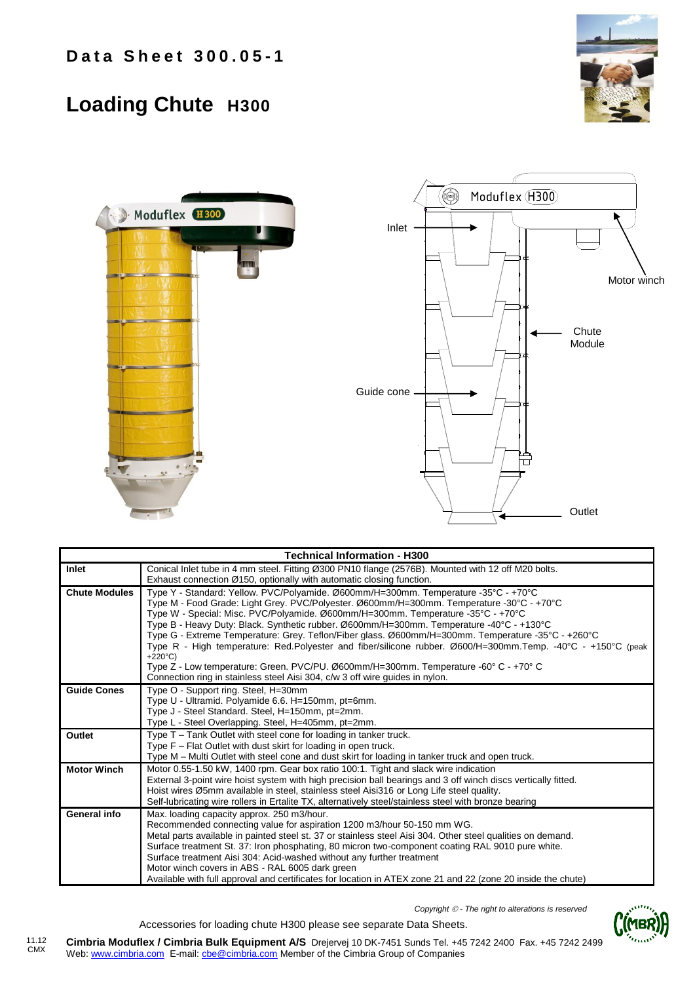## **Loading Chute H300**





| <b>Technical Information - H300</b> |                                                                                                                                                                            |  |  |  |  |  |  |  |
|-------------------------------------|----------------------------------------------------------------------------------------------------------------------------------------------------------------------------|--|--|--|--|--|--|--|
| Inlet                               | Conical Inlet tube in 4 mm steel. Fitting Ø300 PN10 flange (2576B). Mounted with 12 off M20 bolts.<br>Exhaust connection Ø150, optionally with automatic closing function. |  |  |  |  |  |  |  |
|                                     |                                                                                                                                                                            |  |  |  |  |  |  |  |
| <b>Chute Modules</b>                | Type Y - Standard: Yellow. PVC/Polyamide. Ø600mm/H=300mm. Temperature -35°C - +70°C                                                                                        |  |  |  |  |  |  |  |
|                                     | Type M - Food Grade: Light Grey. PVC/Polyester. Ø600mm/H=300mm. Temperature -30°C - +70°C                                                                                  |  |  |  |  |  |  |  |
|                                     | Type W - Special: Misc. PVC/Polyamide. Ø600mm/H=300mm. Temperature -35°C - +70°C                                                                                           |  |  |  |  |  |  |  |
|                                     | Type B - Heavy Duty: Black. Synthetic rubber. Ø600mm/H=300mm. Temperature -40°C - +130°C                                                                                   |  |  |  |  |  |  |  |
|                                     | Type G - Extreme Temperature: Grey. Teflon/Fiber glass. Ø600mm/H=300mm. Temperature -35°C - +260°C                                                                         |  |  |  |  |  |  |  |
|                                     | Type R - High temperature: Red.Polyester and fiber/silicone rubber. Ø600/H=300mm.Temp. -40°C - +150°C (peak                                                                |  |  |  |  |  |  |  |
|                                     | $+220^{\circ}$ C)<br>Type Z - Low temperature: Green. PVC/PU. Ø600mm/H=300mm. Temperature -60° C - +70° C                                                                  |  |  |  |  |  |  |  |
|                                     | Connection ring in stainless steel Aisi 304, c/w 3 off wire guides in nylon.                                                                                               |  |  |  |  |  |  |  |
|                                     |                                                                                                                                                                            |  |  |  |  |  |  |  |
| <b>Guide Cones</b>                  | Type O - Support ring. Steel, H=30mm                                                                                                                                       |  |  |  |  |  |  |  |
|                                     | Type U - Ultramid. Polyamide 6.6. H=150mm, pt=6mm.                                                                                                                         |  |  |  |  |  |  |  |
|                                     | Type J - Steel Standard. Steel, H=150mm, pt=2mm.                                                                                                                           |  |  |  |  |  |  |  |
|                                     | Type L - Steel Overlapping. Steel, H=405mm, pt=2mm.                                                                                                                        |  |  |  |  |  |  |  |
| Outlet                              | Type T – Tank Outlet with steel cone for loading in tanker truck.                                                                                                          |  |  |  |  |  |  |  |
|                                     | Type F - Flat Outlet with dust skirt for loading in open truck.                                                                                                            |  |  |  |  |  |  |  |
|                                     | Type M - Multi Outlet with steel cone and dust skirt for loading in tanker truck and open truck.                                                                           |  |  |  |  |  |  |  |
| <b>Motor Winch</b>                  | Motor 0.55-1.50 kW, 1400 rpm. Gear box ratio 100:1. Tight and slack wire indication                                                                                        |  |  |  |  |  |  |  |
|                                     | External 3-point wire hoist system with high precision ball bearings and 3 off winch discs vertically fitted.                                                              |  |  |  |  |  |  |  |
|                                     | Hoist wires Ø5mm available in steel, stainless steel Aisi316 or Long Life steel quality.                                                                                   |  |  |  |  |  |  |  |
|                                     | Self-lubricating wire rollers in Ertalite TX, alternatively steel/stainless steel with bronze bearing                                                                      |  |  |  |  |  |  |  |
| General info                        | Max. loading capacity approx. 250 m3/hour.                                                                                                                                 |  |  |  |  |  |  |  |
|                                     | Recommended connecting value for aspiration 1200 m3/hour 50-150 mm WG.                                                                                                     |  |  |  |  |  |  |  |
|                                     | Metal parts available in painted steel st. 37 or stainless steel Aisi 304. Other steel qualities on demand.                                                                |  |  |  |  |  |  |  |
|                                     | Surface treatment St. 37: Iron phosphating, 80 micron two-component coating RAL 9010 pure white.                                                                           |  |  |  |  |  |  |  |
|                                     | Surface treatment Aisi 304: Acid-washed without any further treatment                                                                                                      |  |  |  |  |  |  |  |
|                                     | Motor winch covers in ABS - RAL 6005 dark green                                                                                                                            |  |  |  |  |  |  |  |
|                                     | Available with full approval and certificates for location in ATEX zone 21 and 22 (zone 20 inside the chute)                                                               |  |  |  |  |  |  |  |

*Copyright - The right to alterations is reserved*



**Cimbria Moduflex / Cimbria Bulk Equipment A/S** Drejervej 10 DK-7451 Sunds Tel. +45 7242 2400 Fax. +45 7242 2499 Web: www.cimbria.com E-mail: cbe@cimbria.com Member of the Cimbria Group of Companies 11.12 CMX

Accessories for loading chute H300 please see separate Data Sheets.